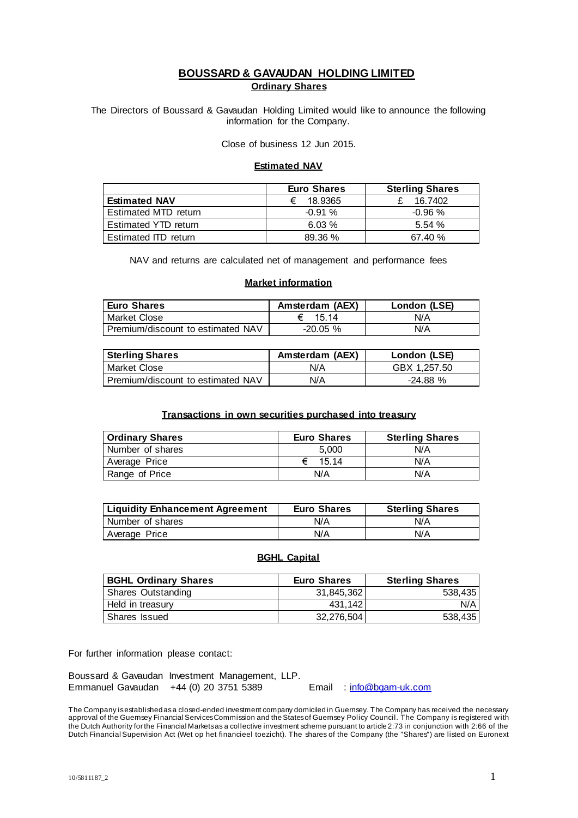# **BOUSSARD & GAVAUDAN HOLDING LIMITED Ordinary Shares**

The Directors of Boussard & Gavaudan Holding Limited would like to announce the following information for the Company.

Close of business 12 Jun 2015.

### **Estimated NAV**

|                      | <b>Euro Shares</b> | <b>Sterling Shares</b> |
|----------------------|--------------------|------------------------|
| <b>Estimated NAV</b> | 18.9365<br>€       | 16.7402                |
| Estimated MTD return | $-0.91%$           | $-0.96$ %              |
| Estimated YTD return | 6.03%              | 5.54%                  |
| Estimated ITD return | 89.36 %            | 67.40%                 |

NAV and returns are calculated net of management and performance fees

### **Market information**

| <b>Euro Shares</b>                | Amsterdam (AEX) | London (LSE) |
|-----------------------------------|-----------------|--------------|
| Market Close                      | 15 14           | N/A          |
| Premium/discount to estimated NAV | $-20.05%$       | N/A          |

| <b>Sterling Shares</b>            | Amsterdam (AEX) | London (LSE) |
|-----------------------------------|-----------------|--------------|
| l Market Close                    | N/A             | GBX 1.257.50 |
| Premium/discount to estimated NAV | N/A             | $-24.88%$    |

#### **Transactions in own securities purchased into treasury**

| <b>Ordinary Shares</b> | <b>Euro Shares</b> | <b>Sterling Shares</b> |
|------------------------|--------------------|------------------------|
| Number of shares       | 5.000              | N/A                    |
| Average Price          | 15.14              | N/A                    |
| Range of Price         | N/A                | N/A                    |

| <b>Liquidity Enhancement Agreement</b> | <b>Euro Shares</b> | <b>Sterling Shares</b> |
|----------------------------------------|--------------------|------------------------|
| Number of shares                       | N/A                | N/A                    |
| Average Price                          | N/A                | N/A                    |

## **BGHL Capital**

| <b>BGHL Ordinary Shares</b> | <b>Euro Shares</b> | <b>Sterling Shares</b> |
|-----------------------------|--------------------|------------------------|
| Shares Outstanding          | 31.845.362         | 538,435                |
| Held in treasury            | 431.142            | N/A                    |
| Shares Issued               | 32.276.504         | 538,435                |

For further information please contact:

Boussard & Gavaudan Investment Management, LLP. Emmanuel Gavaudan +44 (0) 20 3751 5389 Email : [info@bgam-uk.com](mailto:info@bgam-uk.com)

The Company is established asa closed-ended investment company domiciled in Guernsey. The Company has received the necessary approval of the Guernsey Financial Services Commission and the States of Guernsey Policy Council. The Company is registered with the Dutch Authority for the Financial Markets as a collective investment scheme pursuant to article 2:73 in conjunction with 2:66 of the Dutch Financial Supervision Act (Wet op het financieel toezicht). The shares of the Company (the "Shares") are listed on Euronext